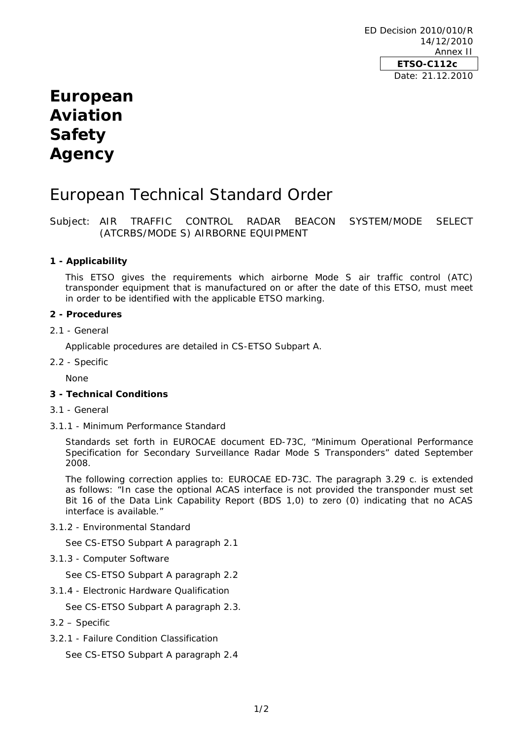# **European Aviation Safety Agency**

## European Technical Standard Order

Subject: AIR TRAFFIC CONTROL RADAR BEACON SYSTEM/MODE SELECT (ATCRBS/MODE S) AIRBORNE EQUIPMENT

## **1 - Applicability**

This ETSO gives the requirements which airborne Mode S air traffic control (ATC) transponder equipment that is manufactured on or after the date of this ETSO, must meet in order to be identified with the applicable ETSO marking.

#### **2 - Procedures**

#### 2.1 - General

Applicable procedures are detailed in CS-ETSO Subpart A.

2.2 - Specific

None

## **3 - Technical Conditions**

- 3.1 General
- 3.1.1 Minimum Performance Standard

Standards set forth in EUROCAE document ED-73C, "Minimum Operational Performance Specification for Secondary Surveillance Radar Mode S Transponders" dated September 2008.

The following correction applies to: EUROCAE ED-73C. The paragraph 3.29 c. is extended as follows: "In case the optional ACAS interface is not provided the transponder must set Bit 16 of the Data Link Capability Report (BDS 1,0) to zero (0) indicating that no ACAS interface is available."

3.1.2 - Environmental Standard

See CS-ETSO Subpart A paragraph 2.1

3.1.3 - Computer Software

See CS-ETSO Subpart A paragraph 2.2

3.1.4 - Electronic Hardware Qualification

See CS-ETSO Subpart A paragraph 2.3.

- 3.2 Specific
- 3.2.1 Failure Condition Classification

See CS-ETSO Subpart A paragraph 2.4